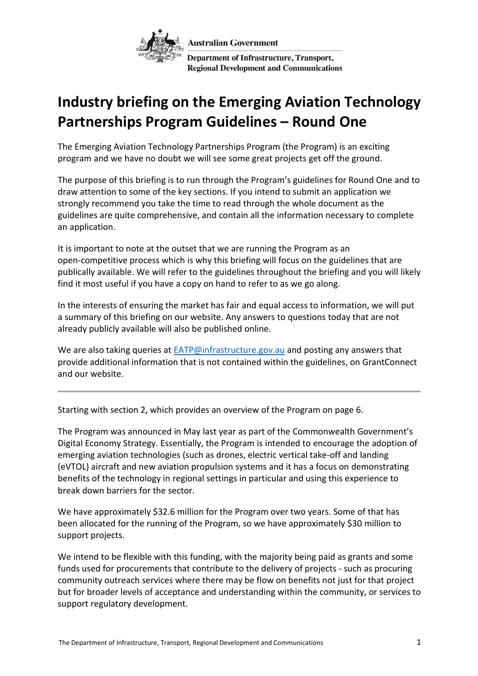

**Department of Infrastructure, Transport, Regional Development and Communications** 

## **Industry briefing on the Emerging Aviation Technology Partnerships Program Guidelines – Round One**

The Emerging Aviation Technology Partnerships Program (the Program) is an exciting program and we have no doubt we will see some great projects get off the ground.

The purpose of this briefing is to run through the Program's guidelines for Round One and to draw attention to some of the key sections. If you intend to submit an application we strongly recommend you take the time to read through the whole document as the guidelines are quite comprehensive, and contain all the information necessary to complete an application.

It is important to note at the outset that we are running the Program as an open-competitive process which is why this briefing will focus on the guidelines that are publically available. We will refer to the guidelines throughout the briefing and you will likely find it most useful if you have a copy on hand to refer to as we go along.

In the interests of ensuring the market has fair and equal access to information, we will put a summary of this briefing on our website. Any answers to questions today that are not already publicly available will also be published online.

We are also taking queries at [EATP@infrastructure.gov.au](mailto:EATP@infrastructure.gov.au) and posting any answers that provide additional information that is not contained within the guidelines, on GrantConnect and our website.

Starting with section 2, which provides an overview of the Program on page 6.

The Program was announced in May last year as part of the Commonwealth Government's Digital Economy Strategy. Essentially, the Program is intended to encourage the adoption of emerging aviation technologies (such as drones, electric vertical take-off and landing (eVTOL) aircraft and new aviation propulsion systems and it has a focus on demonstrating benefits of the technology in regional settings in particular and using this experience to break down barriers for the sector.

We have approximately \$32.6 million for the Program over two years. Some of that has been allocated for the running of the Program, so we have approximately \$30 million to support projects.

We intend to be flexible with this funding, with the majority being paid as grants and some funds used for procurements that contribute to the delivery of projects - such as procuring community outreach services where there may be flow on benefits not just for that project but for broader levels of acceptance and understanding within the community, or services to support regulatory development.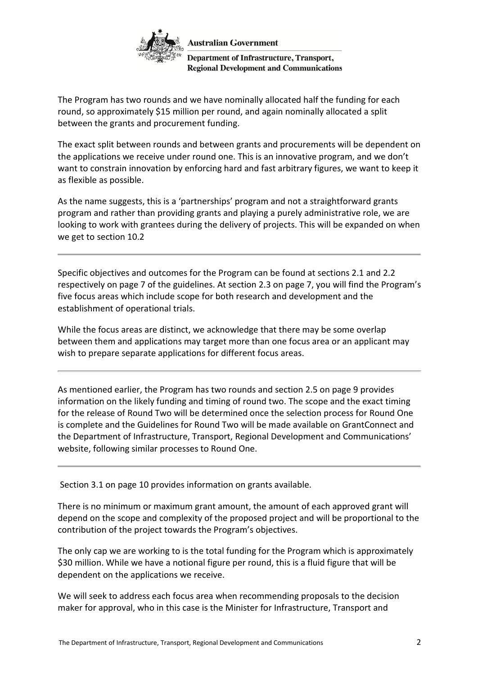**Department of Infrastructure, Transport, Regional Development and Communications** 

The Program has two rounds and we have nominally allocated half the funding for each round, so approximately \$15 million per round, and again nominally allocated a split between the grants and procurement funding.

The exact split between rounds and between grants and procurements will be dependent on the applications we receive under round one. This is an innovative program, and we don't want to constrain innovation by enforcing hard and fast arbitrary figures, we want to keep it as flexible as possible.

As the name suggests, this is a 'partnerships' program and not a straightforward grants program and rather than providing grants and playing a purely administrative role, we are looking to work with grantees during the delivery of projects. This will be expanded on when we get to section 10.2

Specific objectives and outcomes for the Program can be found at sections 2.1 and 2.2 respectively on page 7 of the guidelines. At section 2.3 on page 7, you will find the Program's five focus areas which include scope for both research and development and the establishment of operational trials.

While the focus areas are distinct, we acknowledge that there may be some overlap between them and applications may target more than one focus area or an applicant may wish to prepare separate applications for different focus areas.

As mentioned earlier, the Program has two rounds and section 2.5 on page 9 provides information on the likely funding and timing of round two. The scope and the exact timing for the release of Round Two will be determined once the selection process for Round One is complete and the Guidelines for Round Two will be made available on GrantConnect and the Department of Infrastructure, Transport, Regional Development and Communications' website, following similar processes to Round One.

Section 3.1 on page 10 provides information on grants available.

There is no minimum or maximum grant amount, the amount of each approved grant will depend on the scope and complexity of the proposed project and will be proportional to the contribution of the project towards the Program's objectives.

The only cap we are working to is the total funding for the Program which is approximately \$30 million. While we have a notional figure per round, this is a fluid figure that will be dependent on the applications we receive.

We will seek to address each focus area when recommending proposals to the decision maker for approval, who in this case is the Minister for Infrastructure, Transport and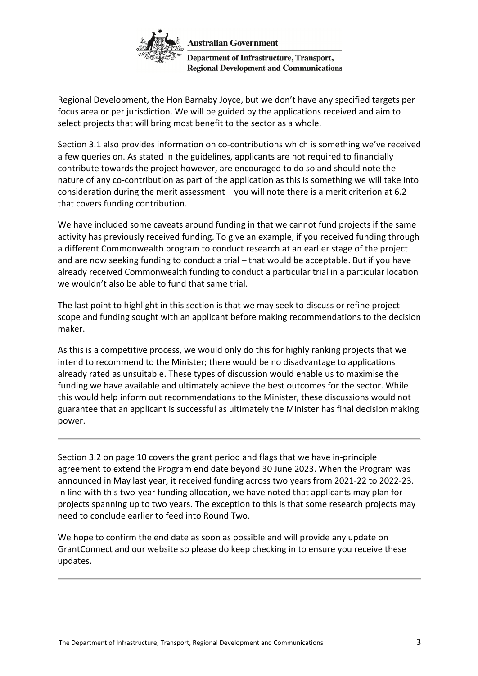**Department of Infrastructure, Transport, Regional Development and Communications** 

Regional Development, the Hon Barnaby Joyce, but we don't have any specified targets per focus area or per jurisdiction. We will be guided by the applications received and aim to select projects that will bring most benefit to the sector as a whole.

Section 3.1 also provides information on co-contributions which is something we've received a few queries on. As stated in the guidelines, applicants are not required to financially contribute towards the project however, are encouraged to do so and should note the nature of any co-contribution as part of the application as this is something we will take into consideration during the merit assessment – you will note there is a merit criterion at 6.2 that covers funding contribution.

We have included some caveats around funding in that we cannot fund projects if the same activity has previously received funding. To give an example, if you received funding through a different Commonwealth program to conduct research at an earlier stage of the project and are now seeking funding to conduct a trial – that would be acceptable. But if you have already received Commonwealth funding to conduct a particular trial in a particular location we wouldn't also be able to fund that same trial.

The last point to highlight in this section is that we may seek to discuss or refine project scope and funding sought with an applicant before making recommendations to the decision maker.

As this is a competitive process, we would only do this for highly ranking projects that we intend to recommend to the Minister; there would be no disadvantage to applications already rated as unsuitable. These types of discussion would enable us to maximise the funding we have available and ultimately achieve the best outcomes for the sector. While this would help inform out recommendations to the Minister, these discussions would not guarantee that an applicant is successful as ultimately the Minister has final decision making power.

Section 3.2 on page 10 covers the grant period and flags that we have in-principle agreement to extend the Program end date beyond 30 June 2023. When the Program was announced in May last year, it received funding across two years from 2021-22 to 2022-23. In line with this two-year funding allocation, we have noted that applicants may plan for projects spanning up to two years. The exception to this is that some research projects may need to conclude earlier to feed into Round Two.

We hope to confirm the end date as soon as possible and will provide any update on GrantConnect and our website so please do keep checking in to ensure you receive these updates.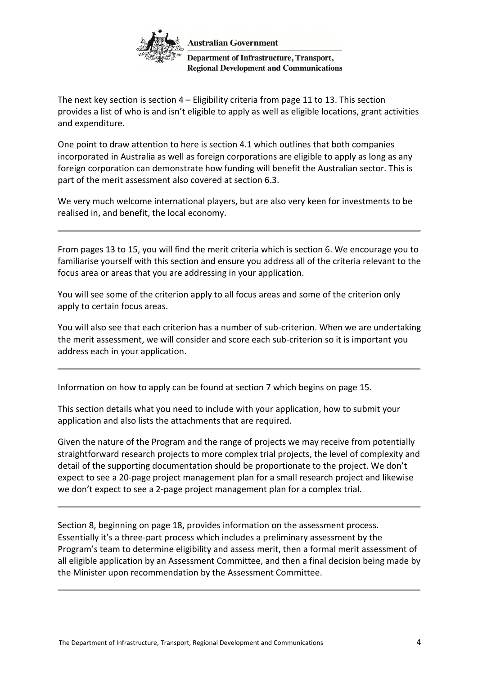**Department of Infrastructure, Transport, Regional Development and Communications** 

The next key section is section  $4 -$  Eligibility criteria from page 11 to 13. This section provides a list of who is and isn't eligible to apply as well as eligible locations, grant activities and expenditure.

One point to draw attention to here is section 4.1 which outlines that both companies incorporated in Australia as well as foreign corporations are eligible to apply as long as any foreign corporation can demonstrate how funding will benefit the Australian sector. This is part of the merit assessment also covered at section 6.3.

We very much welcome international players, but are also very keen for investments to be realised in, and benefit, the local economy.

From pages 13 to 15, you will find the merit criteria which is section 6. We encourage you to familiarise yourself with this section and ensure you address all of the criteria relevant to the focus area or areas that you are addressing in your application.

You will see some of the criterion apply to all focus areas and some of the criterion only apply to certain focus areas.

You will also see that each criterion has a number of sub-criterion. When we are undertaking the merit assessment, we will consider and score each sub-criterion so it is important you address each in your application.

Information on how to apply can be found at section 7 which begins on page 15.

This section details what you need to include with your application, how to submit your application and also lists the attachments that are required.

Given the nature of the Program and the range of projects we may receive from potentially straightforward research projects to more complex trial projects, the level of complexity and detail of the supporting documentation should be proportionate to the project. We don't expect to see a 20-page project management plan for a small research project and likewise we don't expect to see a 2-page project management plan for a complex trial.

Section 8, beginning on page 18, provides information on the assessment process. Essentially it's a three-part process which includes a preliminary assessment by the Program's team to determine eligibility and assess merit, then a formal merit assessment of all eligible application by an Assessment Committee, and then a final decision being made by the Minister upon recommendation by the Assessment Committee.